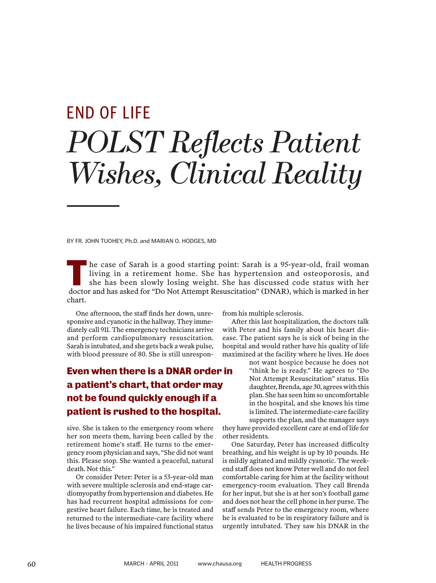# *POLST Reflects Patient Wishes, Clinical Reality* END OF LIFE

BY FR. JOHN TUOHEY, Ph.D. and MARIAN O. HODGES, MD

he case of Sarah is a good starting point: Sarah is a 95-year-old, frail woman living in a retirement home. She has hypertension and osteoporosis, and she has been slowly losing weight. She has discussed code status with her doctor and has asked for "Do Not Attempt Resuscitation" (DNAR), which is marked in her doctor and has asked for "Do Not Attempt Resuscitation" (DNAR), which is marked in her chart.

One afternoon, the staff finds her down, unresponsive and cyanotic in the hallway. They immediately call 911. The emergency technicians arrive and perform cardiopulmonary resuscitation. Sarah is intubated, and she gets back a weak pulse, with blood pressure of 80. She is still unrespon-

## **Even when there is a DNAR order in a patient's chart, that order may not be found quickly enough if a patient is rushed to the hospital.**

sive. She is taken to the emergency room where her son meets them, having been called by the retirement home's staff. He turns to the emergency room physician and says, "She did not want this. Please stop. She wanted a peaceful, natural death. Not this."

Or consider Peter: Peter is a 53-year-old man with severe multiple sclerosis and end-stage cardiomyopathy from hypertension and diabetes. He has had recurrent hospital admissions for congestive heart failure. Each time, he is treated and returned to the intermediate-care facility where he lives because of his impaired functional status

from his multiple sclerosis.

After this last hospitalization, the doctors talk with Peter and his family about his heart disease. The patient says he is sick of being in the hospital and would rather have his quality of life maximized at the facility where he lives. He does

> not want hospice because he does not "think he is ready." He agrees to "Do Not Attempt Resuscitation" status. His daughter, Brenda, age 30, agrees with this plan. She has seen him so uncomfortable in the hospital, and she knows his time is limited. The intermediate-care facility supports the plan, and the manager says

they have provided excellent care at end of life for other residents.

One Saturday, Peter has increased difficulty breathing, and his weight is up by 10 pounds. He is mildly agitated and mildly cyanotic. The weekend staff does not know Peter well and do not feel comfortable caring for him at the facility without emergency-room evaluation. They call Brenda for her input, but she is at her son's football game and does not hear the cell phone in her purse. The staff sends Peter to the emergency room, where he is evaluated to be in respiratory failure and is urgently intubated. They saw his DNAR in the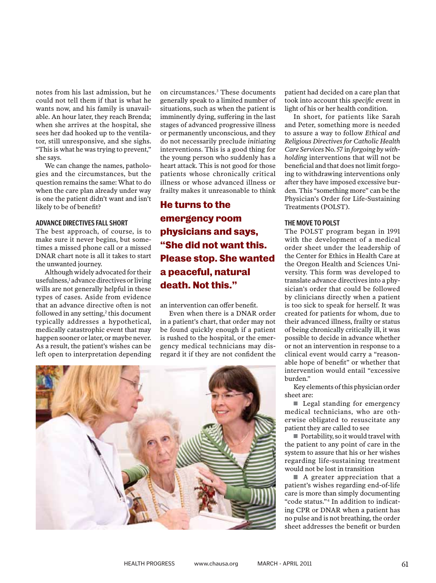notes from his last admission, but he could not tell them if that is what he wants now, and his family is unavailable. An hour later, they reach Brenda; when she arrives at the hospital, she sees her dad hooked up to the ventilator, still unresponsive, and she sighs. "This is what he was trying to prevent," she says.

We can change the names, pathologies and the circumstances, but the question remains the same: What to do when the care plan already under way is one the patient didn't want and isn't likely to be of benefit?

#### **ADVANCE DIRECTIVES FALL SHORT**

The best approach, of course, is to make sure it never begins, but sometimes a missed phone call or a missed DNAR chart note is all it takes to start the unwanted journey.

Although widely advocated for their usefulness,<sup>1</sup> advance directives or living wills are not generally helpful in these types of cases. Aside from evidence that an advance directive often is not followed in any setting,<sup>2</sup> this document typically addresses a hypothetical, medically catastrophic event that may happen sooner or later, or maybe never. As a result, the patient's wishes can be left open to interpretation depending

on circumstances.3 These documents generally speak to a limited number of situations, such as when the patient is imminently dying, suffering in the last stages of advanced progressive illness or permanently unconscious, and they do not necessarily preclude *initiating* interventions. This is a good thing for the young person who suddenly has a heart attack. This is not good for those patients whose chronically critical illness or whose advanced illness or frailty makes it unreasonable to think

## **He turns to the emergency room physicians and says, "She did not want this. Please stop. She wanted a peaceful, natural death. Not this."**

an intervention can offer benefit.

Even when there is a DNAR order in a patient's chart, that order may not be found quickly enough if a patient is rushed to the hospital, or the emergency medical technicians may disregard it if they are not confident the



patient had decided on a care plan that took into account this *specific* event in light of his or her health condition.

In short, for patients like Sarah and Peter, something more is needed to assure a way to follow *Ethical and Religious Directives for Catholic Health Care Services* No. 57 in *forgoing by withholding* interventions that will not be beneficial and that does not limit forgoing to withdrawing interventions only after they have imposed excessive burden. This "something more" can be the Physician's Order for Life-Sustaining Treatments (POLST).

#### **THE MOVE TO POLST**

The POLST program began in 1991 with the development of a medical order sheet under the leadership of the Center for Ethics in Health Care at the Oregon Health and Sciences University. This form was developed to translate advance directives into a physician's order that could be followed by clinicians directly when a patient is too sick to speak for herself. It was created for patients for whom, due to their advanced illness, frailty or status of being chronically critically ill, it was possible to decide in advance whether or not an intervention in response to a clinical event would carry a "reasonable hope of benefit" or whether that intervention would entail "excessive burden."

Key elements of this physician order sheet are:

Legal standing for emergency medical technicians, who are otherwise obligated to resuscitate any patient they are called to see

Portability, so it would travel with the patient to any point of care in the system to assure that his or her wishes regarding life-sustaining treatment would not be lost in transition

A greater appreciation that a patient's wishes regarding end-of-life care is more than simply documenting "code status."4 In addition to indicating CPR or DNAR when a patient has no pulse and is not breathing, the order sheet addresses the benefit or burden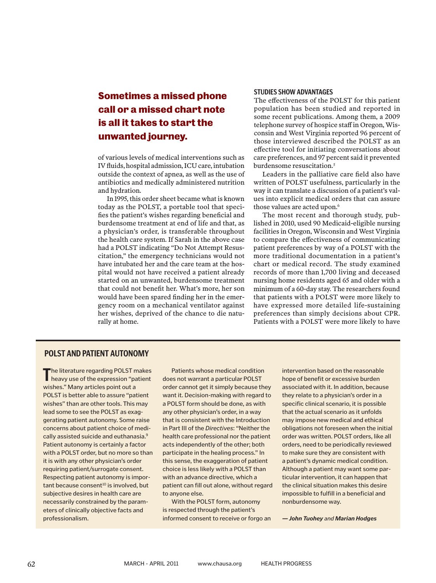## **Sometimes a missed phone call or a missed chart note is all it takes to start the unwanted journey.**

of various levels of medical interventions such as IV fluids, hospital admission, ICU care, intubation outside the context of apnea, as well as the use of antibiotics and medically administered nutrition and hydration.

In 1995, this order sheet became what is known today as the POLST, a portable tool that specifies the patient's wishes regarding beneficial and burdensome treatment at end of life and that, as a physician's order, is transferable throughout the health care system. If Sarah in the above case had a POLST indicating "Do Not Attempt Resuscitation," the emergency technicians would not have intubated her and the care team at the hospital would not have received a patient already started on an unwanted, burdensome treatment that could not benefit her. What's more, her son would have been spared finding her in the emergency room on a mechanical ventilator against her wishes, deprived of the chance to die naturally at home.

#### **STUDIES SHOW ADVANTAGES**

The effectiveness of the POLST for this patient population has been studied and reported in some recent publications. Among them, a 2009 telephone survey of hospice staff in Oregon, Wisconsin and West Virginia reported 96 percent of those interviewed described the POLST as an effective tool for initiating conversations about care preferences, and 97 percent said it prevented burdensome resuscitation.<sup>5</sup>

Leaders in the palliative care field also have written of POLST usefulness, particularly in the way it can translate a discussion of a patient's values into explicit medical orders that can assure those values are acted upon.<sup>6</sup>

The most recent and thorough study, published in 2010, used 90 Medicaid-eligible nursing facilities in Oregon, Wisconsin and West Virginia to compare the effectiveness of communicating patient preferences by way of a POLST with the more traditional documentation in a patient's chart or medical record. The study examined records of more than 1,700 living and deceased nursing home residents aged 65 and older with a minimum of a 60-day stay. The researchers found that patients with a POLST were more likely to have expressed more detailed life-sustaining preferences than simply decisions about CPR. Patients with a POLST were more likely to have

#### **POLST AND PATIENT AUTONOMY**

The literature regarding POLST makes<br>
heavy use of the expression "patient" he literature regarding POLST makes wishes." Many articles point out a POLST is better able to assure "patient wishes" than are other tools. This may lead some to see the POLST as exaggerating patient autonomy. Some raise concerns about patient choice of medically assisted suicide and euthanasia.<sup>9</sup> Patient autonomy is certainly a factor with a POLST order, but no more so than it is with any other physician's order requiring patient/surrogate consent. Respecting patient autonomy is impor $tant because consent<sup>10</sup> is involved, but$ subjective desires in health care are necessarily constrained by the parameters of clinically objective facts and professionalism.

Patients whose medical condition does not warrant a particular POLST order cannot get it simply because they want it. Decision-making with regard to a POLST form should be done, as with any other physician's order, in a way that is consistent with the Introduction in Part III of the *Directives*: "Neither the health care professional nor the patient acts independently of the other; both participate in the healing process." In this sense, the exaggeration of patient choice is less likely with a POLST than with an advance directive, which a patient can fill out alone, without regard to anyone else.

With the POLST form, autonomy is respected through the patient's informed consent to receive or forgo an intervention based on the reasonable hope of benefit or excessive burden associated with it. In addition, because they relate to a physician's order in a specific clinical scenario, it is possible that the actual scenario as it unfolds may impose new medical and ethical obligations not foreseen when the initial order was written. POLST orders, like all orders, need to be periodically reviewed to make sure they are consistent with a patient's dynamic medical condition. Although a patient may want some particular intervention, it can happen that the clinical situation makes this desire impossible to fulfill in a beneficial and nonburdensome way.

*— John Tuohey and Marian Hodges*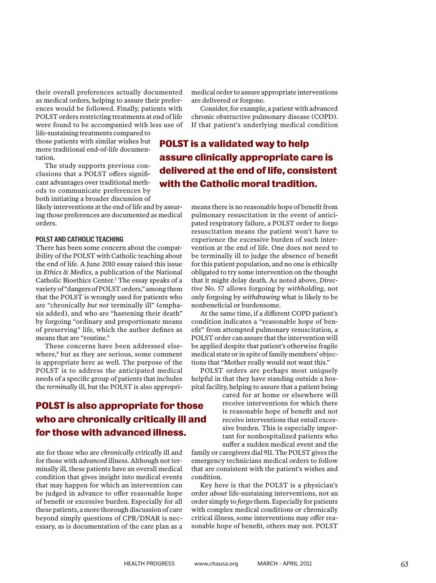their overall preferences actually documented as medical orders, helping to assure their preferences would be followed. Finally, patients with POLST orders restricting treatments at end of life were found to be accompanied with less use of

life-sustaining treatments compared to those patients with similar wishes but more traditional end-of-life documentation.

The study supports previous conclusions that a POLST offers significant advantages over traditional methods to communicate preferences by both initiating a broader discussion of

likely interventions at the end of life and by assuring those preferences are documented as medical orders.

#### **POLST AND CATHOLIC TEACHING**

There has been some concern about the compatibility of the POLST with Catholic teaching about the end of life. A June 2010 essay raised this issue in *Ethics & Medics*, a publication of the National Catholic Bioethics Center.7 The essay speaks of a variety of "dangers of POLST orders," among them that the POLST is wrongly used for patients who are "chronically *but not* terminally ill" (emphasis added), and who are "hastening their death" by forgoing "ordinary and proportionate means of preserving" life, which the author defines as means that are "routine."

These concerns have been addressed elsewhere,<sup>8</sup> but as they are serious, some comment is appropriate here as well. The purpose of the POLST is to address the anticipated medical needs of a specific group of patients that includes the *terminally* ill, but the POLST is also appropri-

### **POLST is also appropriate for those who are chronically critically ill and for those with advanced illness.**

ate for those who are *chronically critically* ill and for those with *advanced* illness. Although not terminally ill, these patients have an overall medical condition that gives insight into medical events that may happen for which an intervention can be judged in advance to offer reasonable hope of benefit or excessive burden. Especially for all these patients, a more thorough discussion of care beyond simply questions of CPR/DNAR is necessary, as is documentation of the care plan as a

medical order to assure appropriate interventions are delivered or forgone.

Consider, for example, a patient with advanced chronic obstructive pulmonary disease (COPD). If that patient's underlying medical condition

**POLST is a validated way to help assure clinically appropriate care is delivered at the end of life, consistent with the Catholic moral tradition.**

> means there is no reasonable hope of benefit from pulmonary resuscitation in the event of anticipated respiratory failure, a POLST order to forgo resuscitation means the patient won't have to experience the excessive burden of such intervention at the end of life. One does not need to be terminally ill to judge the absence of benefit for this patient population, and no one is ethically obligated to try some intervention on the thought that it might delay death. As noted above, *Directive* No. 57 allows forgoing by *withholding*, not only forgoing by *withdrawing* what is likely to be nonbeneficial or burdensome.

> At the same time, if a different COPD patient's condition indicates a "reasonable hope of benefit" from attempted pulmonary resuscitation, a POLST order can assure that the intervention will be applied despite that patient's otherwise fragile medical state or in spite of family members' objections that "Mother really would not want this."

> POLST orders are perhaps most uniquely helpful in that they have standing outside a hospital facility, helping to assure that a patient being

cared for at home or elsewhere will receive interventions for which there is reasonable hope of benefit and not receive interventions that entail excessive burden. This is especially important for nonhospitalized patients who suffer a sudden medical event and the

family or caregivers dial 911. The POLST gives the emergency technicians medical orders to follow that are consistent with the patient's wishes and condition.

Key here is that the POLST is a physician's order *about* life-sustaining interventions, not an order simply to *forgo* them. Especially for patients with complex medical conditions or chronically critical illness, some interventions may offer reasonable hope of benefit, others may not. POLST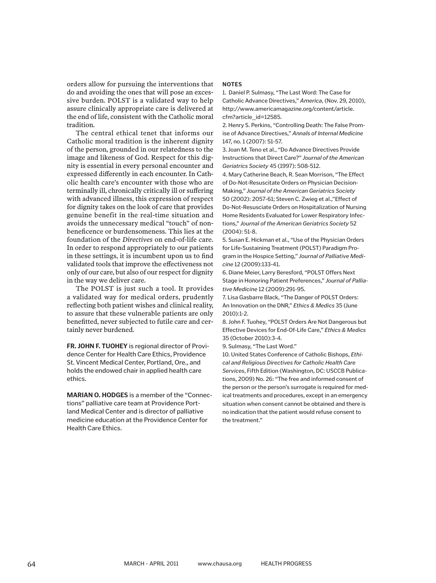orders allow for pursuing the interventions that do and avoiding the ones that will pose an excessive burden. POLST is a validated way to help assure clinically appropriate care is delivered at the end of life, consistent with the Catholic moral tradition.

The central ethical tenet that informs our Catholic moral tradition is the inherent dignity of the person, grounded in our relatedness to the image and likeness of God. Respect for this dignity is essential in every personal encounter and expressed differently in each encounter. In Catholic health care's encounter with those who are terminally ill, chronically critically ill or suffering with advanced illness, this expression of respect for dignity takes on the look of care that provides genuine benefit in the real-time situation and avoids the unnecessary medical "touch" of nonbeneficence or burdensomeness. This lies at the foundation of the *Directives* on end-of-life care. In order to respond appropriately to our patients in these settings, it is incumbent upon us to find validated tools that improve the effectiveness not only of our care, but also of our respect for dignity in the way we deliver care.

The POLST is just such a tool. It provides a validated way for medical orders, prudently reflecting both patient wishes and clinical reality, to assure that these vulnerable patients are only benefitted, never subjected to futile care and certainly never burdened.

**FR. JOHN F. TUOHEY** is regional director of Providence Center for Health Care Ethics, Providence St. Vincent Medical Center, Portland, Ore., and holds the endowed chair in applied health care ethics.

**MARIAN O. HODGES** is a member of the "Connections" palliative care team at Providence Portland Medical Center and is director of palliative medicine education at the Providence Center for Health Care Ethics.

#### **NOTES**

1. Daniel P. Sulmasy, "The Last Word: The Case for Catholic Advance Directives," *America*, (Nov. 29, 2010), http://www.americamagazine.org/content/article. cfm?article\_id=12585.

2. Henry S. Perkins, "Controlling Death: The False Promise of Advance Directives," *Annals of Internal Medicine* 147, no. 1 (2007): 51-57.

3. Joan M. Teno et al., "Do Advance Directives Provide Instructions that Direct Care?" *Journal of the American Geriatrics Society* 45 (1997): 508-512.

4. Mary Catherine Beach, R. Sean Morrison, "The Effect of Do-Not-Resuscitate Orders on Physician Decision-Making," *Journal of the American Geriatrics Society* 50 (2002): 2057-61; Steven C. Zwieg et al.,"Effect of Do-Not-Resusciate Orders on Hospitalization of Nursing Home Residents Evaluated for Lower Respiratory Infections," *Journal of the American Geriatrics Society* 52 (2004): 51-8.

5. Susan E. Hickman et al., "Use of the Physician Orders for Life-Sustaining Treatment (POLST) Paradigm Program in the Hospice Setting," *Journal of Palliative Medicine* 12 (2009):133-41.

6. Diane Meier, Larry Beresford, "POLST Offers Next Stage in Honoring Patient Preferences," *Journal of Palliative Medicine* 12 (2009):291-95.

7. Lisa Gasbarre Black, "The Danger of POLST Orders: An Innovation on the DNR," *Ethics & Medics* 35 (June 2010):1-2.

8. John F. Tuohey, "POLST Orders Are Not Dangerous but Effective Devices for End-Of-Life Care," *Ethics & Medics*  35 (October 2010):3-4.

9. Sulmasy, "The Last Word."

10. United States Conference of Catholic Bishops, *Ethical and Religious Directives for Catholic Health Care Services*, Fifth Edition (Washington, DC: USCCB Publications, 2009) No. 26: "The free and informed consent of the person or the person's surrogate is required for medical treatments and procedures, except in an emergency situation when consent cannot be obtained and there is no indication that the patient would refuse consent to the treatment."